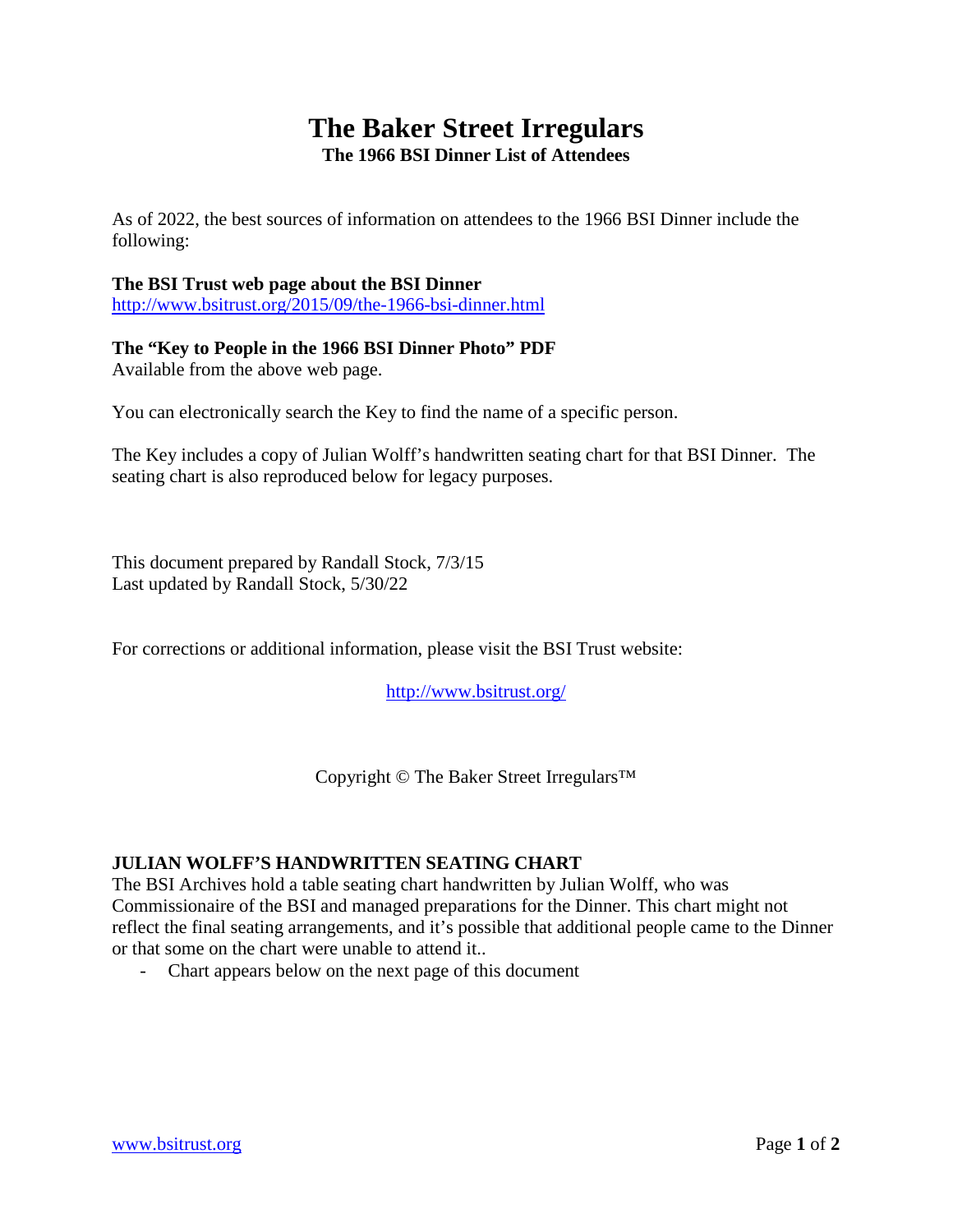## **The Baker Street Irregulars The 1966 BSI Dinner List of Attendees**

As of 2022, the best sources of information on attendees to the 1966 BSI Dinner include the following:

## **The BSI Trust web page about the BSI Dinner**

<http://www.bsitrust.org/2015/09/the-1966-bsi-dinner.html>

## **The "Key to People in the 1966 BSI Dinner Photo" PDF**

Available from the above web page.

You can electronically search the Key to find the name of a specific person.

The Key includes a copy of Julian Wolff's handwritten seating chart for that BSI Dinner. The seating chart is also reproduced below for legacy purposes.

This document prepared by Randall Stock, 7/3/15 Last updated by Randall Stock, 5/30/22

For corrections or additional information, please visit the BSI Trust website:

<http://www.bsitrust.org/>

Copyright © The Baker Street Irregulars™

## **JULIAN WOLFF'S HANDWRITTEN SEATING CHART**

The BSI Archives hold a table seating chart handwritten by Julian Wolff, who was Commissionaire of the BSI and managed preparations for the Dinner. This chart might not reflect the final seating arrangements, and it's possible that additional people came to the Dinner or that some on the chart were unable to attend it..

- Chart appears below on the next page of this document